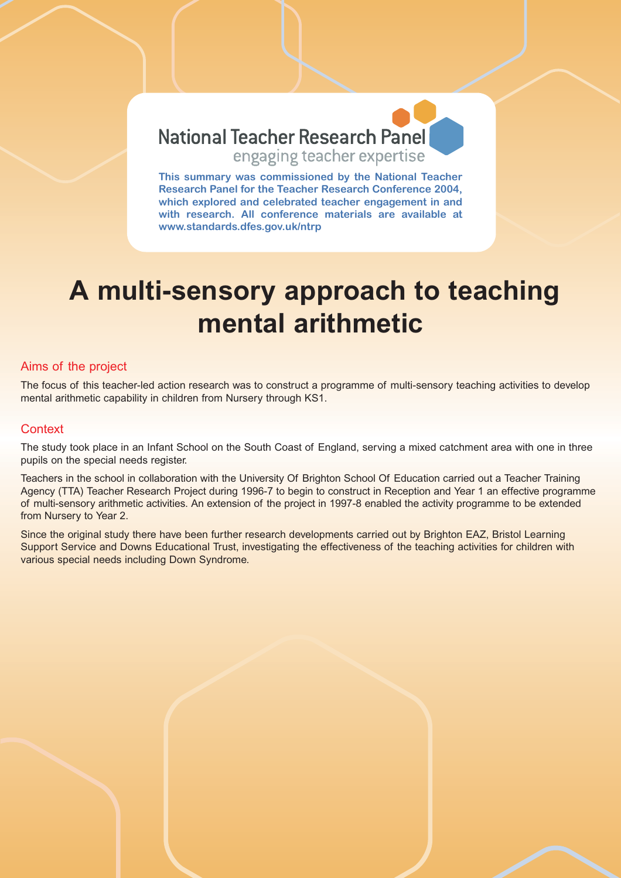

**This summary was commissioned by the National Teacher Research Panel for the Teacher Research Conference 2004, which explored and celebrated teacher engagement in and with research. All conference materials are available at www.standards.dfes.gov.uk/ntrp**

# **A multi-sensory approach to teaching mental arithmetic**

### Aims of the project

The focus of this teacher-led action research was to construct a programme of multi-sensory teaching activities to develop mental arithmetic capability in children from Nursery through KS1.

## **Context**

The study took place in an Infant School on the South Coast of England, serving a mixed catchment area with one in three pupils on the special needs register.

Teachers in the school in collaboration with the University Of Brighton School Of Education carried out a Teacher Training Agency (TTA) Teacher Research Project during 1996-7 to begin to construct in Reception and Year 1 an effective programme of multi-sensory arithmetic activities. An extension of the project in 1997-8 enabled the activity programme to be extended from Nursery to Year 2.

Since the original study there have been further research developments carried out by Brighton EAZ, Bristol Learning Support Service and Downs Educational Trust, investigating the effectiveness of the teaching activities for children with various special needs including Down Syndrome.